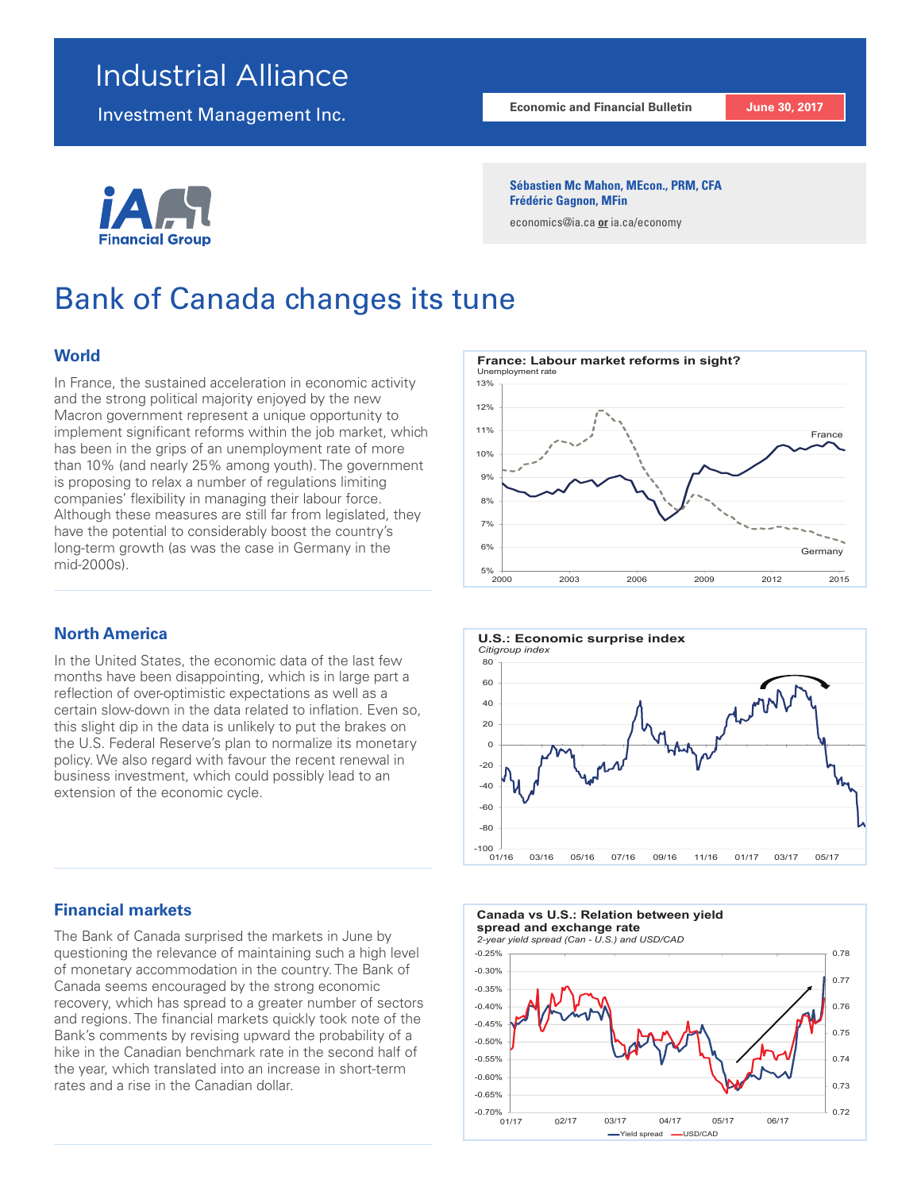## Industrial Alliance

Investment Management Inc.

# Financial G

#### **Economic and Financial Bulletin June 30, 2017**

**Sébastien Mc Mahon, MEcon., PRM, CFA Frédéric Gagnon, MFin**

economics@ia.ca **or** ia.ca/economy

# Bank of Canada changes its tune

## **World**

In France, the sustained acceleration in economic activity and the strong political majority enjoyed by the new Macron government represent a unique opportunity to implement significant reforms within the job market, which has been in the grips of an unemployment rate of more than 10% (and nearly 25% among youth). The government is proposing to relax a number of regulations limiting companies' flexibility in managing their labour force. Although these measures are still far from legislated, they have the potential to considerably boost the country's long-term growth (as was the case in Germany in the mid-2000s).

## **North America**

In the United States, the economic data of the last few months have been disappointing, which is in large part a reflection of over-optimistic expectations as well as a certain slow-down in the data related to inflation. Even so, this slight dip in the data is unlikely to put the brakes on the U.S. Federal Reserve's plan to normalize its monetary policy. We also regard with favour the recent renewal in business investment, which could possibly lead to an extension of the economic cycle.

## **Financial markets**

The Bank of Canada surprised the markets in June by questioning the relevance of maintaining such a high level of monetary accommodation in the country. The Bank of Canada seems encouraged by the strong economic recovery, which has spread to a greater number of sectors and regions. The financial markets quickly took note of the Bank's comments by revising upward the probability of a hike in the Canadian benchmark rate in the second half of the year, which translated into an increase in short-term rates and a rise in the Canadian dollar.





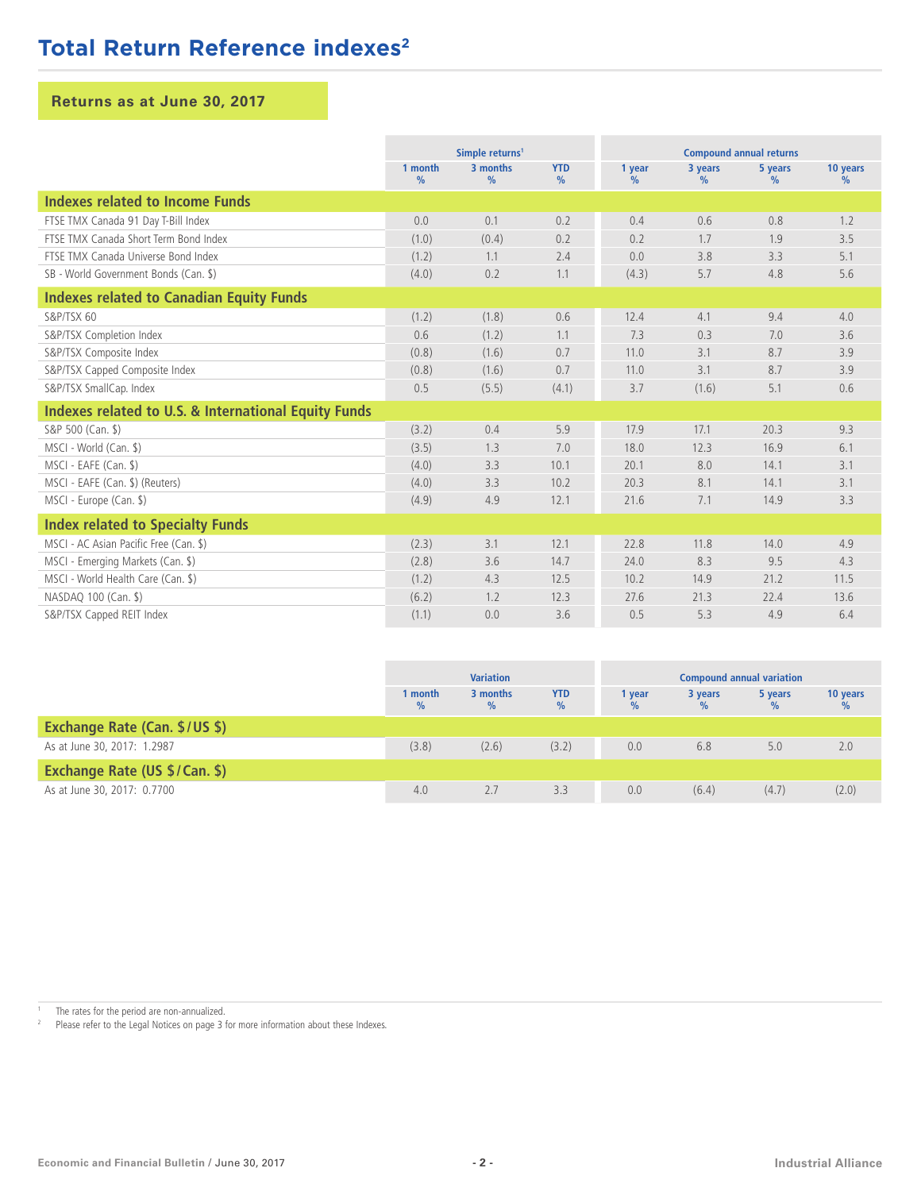## **Total Return Reference indexes<sup>2</sup>**

## **Returns as at June 30, 2017**

|                                                                 | Simple returns <sup>1</sup> |                           |                    | <b>Compound annual returns</b> |                 |                 |                  |
|-----------------------------------------------------------------|-----------------------------|---------------------------|--------------------|--------------------------------|-----------------|-----------------|------------------|
|                                                                 | 1 month<br>$\%$             | 3 months<br>$\frac{0}{0}$ | <b>YTD</b><br>$\%$ | 1 year<br>$\frac{0}{0}$        | 3 years<br>$\%$ | 5 years<br>$\%$ | 10 years<br>$\%$ |
| Indexes related to Income Funds                                 |                             |                           |                    |                                |                 |                 |                  |
| FTSE TMX Canada 91 Day T-Bill Index                             | 0.0                         | 0.1                       | 0.2                | 0.4                            | 0.6             | 0.8             | 1.2              |
| FTSE TMX Canada Short Term Bond Index                           | (1.0)                       | (0.4)                     | 0.2                | 0.2                            | 1.7             | 1.9             | 3.5              |
| FTSE TMX Canada Universe Bond Index                             | (1.2)                       | 1.1                       | 2.4                | 0.0                            | 3.8             | 3.3             | 5.1              |
| SB - World Government Bonds (Can. \$)                           | (4.0)                       | 0.2                       | 1.1                | (4.3)                          | 5.7             | 4.8             | 5.6              |
| <b>Indexes related to Canadian Equity Funds</b>                 |                             |                           |                    |                                |                 |                 |                  |
| S&P/TSX 60                                                      | (1.2)                       | (1.8)                     | 0.6                | 12.4                           | 4.1             | 9.4             | 4.0              |
| S&P/TSX Completion Index                                        | 0.6                         | (1.2)                     | 1.1                | 7.3                            | 0.3             | 7.0             | 3.6              |
| S&P/TSX Composite Index                                         | (0.8)                       | (1.6)                     | 0.7                | 11.0                           | 3.1             | 8.7             | 3.9              |
| S&P/TSX Capped Composite Index                                  | (0.8)                       | (1.6)                     | 0.7                | 11.0                           | 3.1             | 8.7             | 3.9              |
| S&P/TSX SmallCap. Index                                         | 0.5                         | (5.5)                     | (4.1)              | 3.7                            | (1.6)           | 5.1             | 0.6              |
| <b>Indexes related to U.S. &amp; International Equity Funds</b> |                             |                           |                    |                                |                 |                 |                  |
| S&P 500 (Can. \$)                                               | (3.2)                       | 0.4                       | 5.9                | 17.9                           | 17.1            | 20.3            | 9.3              |
| MSCI - World (Can. \$)                                          | (3.5)                       | 1.3                       | 7.0                | 18.0                           | 12.3            | 16.9            | 6.1              |
| MSCI - EAFE (Can. \$)                                           | (4.0)                       | 3.3                       | 10.1               | 20.1                           | 8.0             | 14.1            | 3.1              |
| MSCI - EAFE (Can. \$) (Reuters)                                 | (4.0)                       | 3.3                       | 10.2               | 20.3                           | 8.1             | 14.1            | 3.1              |
| MSCI - Europe (Can. \$)                                         | (4.9)                       | 4.9                       | 12.1               | 21.6                           | 7.1             | 14.9            | 3.3              |
| <b>Index related to Specialty Funds</b>                         |                             |                           |                    |                                |                 |                 |                  |
| MSCI - AC Asian Pacific Free (Can. \$)                          | (2.3)                       | 3.1                       | 12.1               | 22.8                           | 11.8            | 14.0            | 4.9              |
| MSCI - Emerging Markets (Can. \$)                               | (2.8)                       | 3.6                       | 14.7               | 24.0                           | 8.3             | 9.5             | 4.3              |
| MSCI - World Health Care (Can. \$)                              | (1.2)                       | 4.3                       | 12.5               | 10.2                           | 14.9            | 21.2            | 11.5             |
| NASDAQ 100 (Can. \$)                                            | (6.2)                       | 1.2                       | 12.3               | 27.6                           | 21.3            | 22.4            | 13.6             |
| S&P/TSX Capped REIT Index                                       | (1.1)                       | 0.0                       | 3.6                | 0.5                            | 5.3             | 4.9             | 6.4              |

|                                      | <b>Variation</b> |                  |                    | <b>Compound annual variation</b> |         |         |          |
|--------------------------------------|------------------|------------------|--------------------|----------------------------------|---------|---------|----------|
|                                      | 1 month<br>$\%$  | 3 months<br>$\%$ | <b>YTD</b><br>$\%$ | vear                             | 3 years | 5 years | 10 years |
| <b>Exchange Rate (Can. \$/US \$)</b> |                  |                  |                    |                                  |         |         |          |
| As at June 30, 2017: 1.2987          | (3.8)            | (2.6)            | (3.2)              | 0.0                              | 6.8     | 5.0     | 2.0      |
| Exchange Rate (US \$/Can. \$)        |                  |                  |                    |                                  |         |         |          |
| As at June 30, 2017: 0.7700          | 4.0              | 2.7              | 3.3                | 0.0                              | (6.4)   | (4.7)   | (2.0)    |

<sup>1</sup> The rates for the period are non-annualized.<br><sup>2</sup> Ploce refer to the Legal Notices on page  $3.5$ 

Please refer to the Legal Notices on page 3 for more information about these Indexes.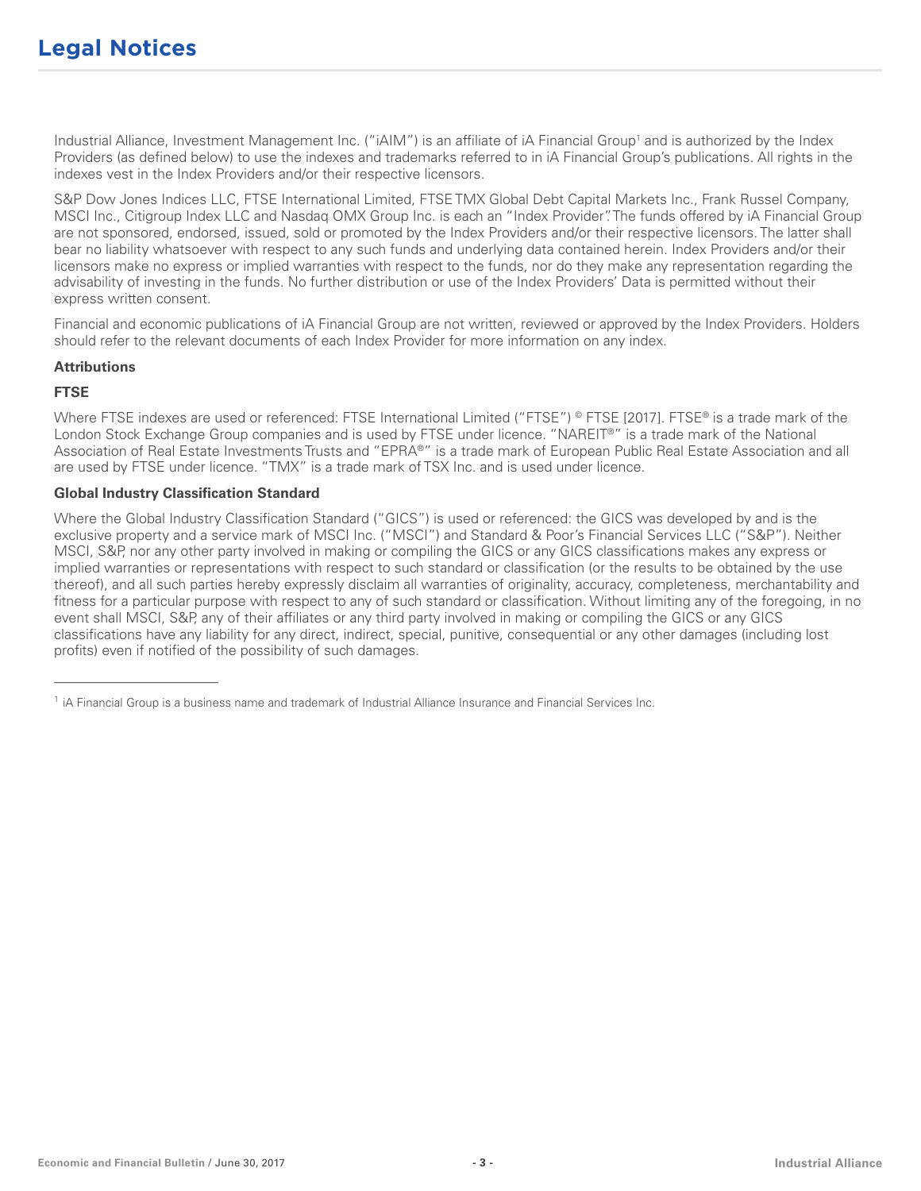Industrial Alliance, Investment Management Inc. ("iAIM") is an affiliate of iA Financial Group1 and is authorized by the Index Providers (as defined below) to use the indexes and trademarks referred to in iA Financial Group's publications. All rights in the indexes vest in the Index Providers and/or their respective licensors.

S&P Dow Jones Indices LLC, FTSE International Limited, FTSE TMX Global Debt Capital Markets Inc., Frank Russel Company, MSCI Inc., Citigroup Index LLC and Nasdaq OMX Group Inc. is each an "Index Provider". The funds offered by iA Financial Group are not sponsored, endorsed, issued, sold or promoted by the Index Providers and/or their respective licensors. The latter shall bear no liability whatsoever with respect to any such funds and underlying data contained herein. Index Providers and/or their licensors make no express or implied warranties with respect to the funds, nor do they make any representation regarding the advisability of investing in the funds. No further distribution or use of the Index Providers' Data is permitted without their express written consent.

Financial and economic publications of iA Financial Group are not written, reviewed or approved by the Index Providers. Holders should refer to the relevant documents of each Index Provider for more information on any index.

### **Attributions**

## **FTSE**

Where FTSE indexes are used or referenced: FTSE International Limited ("FTSE") © FTSE [2017]. FTSE® is a trade mark of the London Stock Exchange Group companies and is used by FTSE under licence. "NAREIT®" is a trade mark of the National Association of Real Estate Investments Trusts and "EPRA®" is a trade mark of European Public Real Estate Association and all are used by FTSE under licence. "TMX" is a trade mark of TSX Inc. and is used under licence.

## **Global Industry Classification Standard**

\_\_\_\_\_\_\_\_\_\_\_\_\_\_\_\_\_\_\_\_\_\_\_

Where the Global Industry Classification Standard ("GICS") is used or referenced: the GICS was developed by and is the exclusive property and a service mark of MSCI Inc. ("MSCI") and Standard & Poor's Financial Services LLC ("S&P"). Neither MSCI, S&P, nor any other party involved in making or compiling the GICS or any GICS classifications makes any express or implied warranties or representations with respect to such standard or classification (or the results to be obtained by the use thereof), and all such parties hereby expressly disclaim all warranties of originality, accuracy, completeness, merchantability and fitness for a particular purpose with respect to any of such standard or classification. Without limiting any of the foregoing, in no event shall MSCI, S&P, any of their affiliates or any third party involved in making or compiling the GICS or any GICS classifications have any liability for any direct, indirect, special, punitive, consequential or any other damages (including lost profits) even if notified of the possibility of such damages.

<sup>&</sup>lt;sup>1</sup> iA Financial Group is a business name and trademark of Industrial Alliance Insurance and Financial Services Inc.